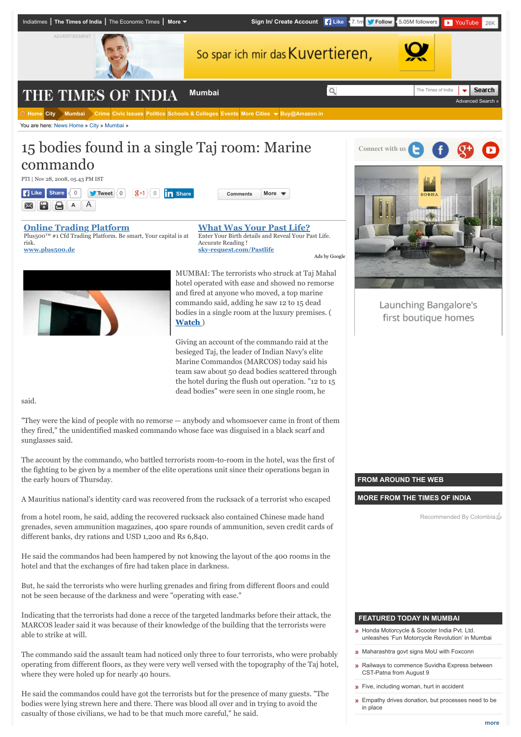

risk. **[www.plus500.de](http://www.googleadservices.com/pagead/aclk?sa=L&ai=CI724pPDFVdW8G4fHb7Weg7gCzO__wAfEnOGEiwHAjbcBEAEgqPCmBigCYJW6roK0B6ABhPqr3gPIAQGpAkwq-sraYrI-qAMBqgTSAU_Q0PWjwz6nPfTJ3a-yg1DhuxBg63knC0XG6UIgtOUOMweLAG7A1w7L_VtZgCoQvAoxuUkXE1NgkJZCsZnMOfb0AM0-qEmy6VTjS7smmnHbOuROij4oIzT-ID3bNegjvnjR0Vmk327lXEzOsGcaQQHpTLeonB2xOtTsAtNZelwl3aqMCXsUgnkizGOG_ujVyaQYToNAH_8KK01mh78W-Zug3c8fnY8b1wx24UjAmaeBGicCrNy7WnEKLiHTrwNo4juogQnoOPg5rR05Twc81BplpIgGAYAH5IXUIagHpr4b2AcB&num=1&cid=5Gigi09ql2RgNODJWtf9xyoy&sig=AOD64_2xPYbPASQLFd4_0mOqWfuQRtmtNg&client=ca-timesofindia_site_js&adurl=http://www.plus500.de/%3Fid%3D12222%26tags%3Dg_sr%2BGermanyContentEng_cp%2BFinance_ag%2Btimesofindia.indiatimes.com_pl%2BBusiness**News_ks%2BBroad_mt%2Bc_de%2Bd_nt%2B%26%25D7%2590)** Accurate Reading ! **[sky-request.com/Pastlife](http://www.googleadservices.com/pagead/aclk?sa=L&ai=CiXz8pPDFVdW8G4fHb7Weg7gCjdrswgat6dz2-QHAjbcBEAIgqPCmBigCYJW6roK0B6ABw-TqzwPIAQGpAkwq-sraYrI-qAMBqgTSAU_QwJmowz2nPfTJ3a-yg1DhuxBg63knC0XG6UIgtOUOMweLAG7A1w7L_VtZgCoQvAoxuUkXE1NgkJZCsZnMOfb0AM0-qEmy6VTjS7smmnHbOuROij4oIzT-ID3bNegjvnjR0Vmk327lXEzOsGcaQQHpTLeonB2xOtTsAtNZelwl3aqMCXsUgnkizGOG_ujVyaQYToNAH_8KK01mh78W-Zug3c8fnfcY1wx2gEa-tqeBGicCrNy7WnEKLiHTrwNo4juogQnoOPg5rR05Twc85U5htIgGAYAHpZuVMKgHpr4b2AcB&num=2&cid=5Gigi09ql2RgNODJWtf9xyoy&sig=AOD64_2U-hGYBYz9RHi5aD_ODIb2siMb0A&client=ca-timesofindia_site_js&adurl=https://sky-request.com/FreeReading.html%3Fpk_campaign%3Dplacements_m%26pk_kwd%3Dpast)** [Ads by Google](https://www.google.com/url?ct=abg&q=https://www.google.com/adsense/support/bin/request.py%3Fcontact%3Dabg_afc%26url%3Dhttp://timesofindia.indiatimes.com/city/mumbai/15-bodies-found-in-a-single-Taj-room-Marine-commando/articleshow/3770036.cms%26gl%3DDE%26hl%3Den%26client%3Dca-timesofindia_site_js%26hideleadgen%3D1%26ai0%3DCI724pPDFVdW8G4fHb7Weg7gCzO__wAfEnOGEiwHAjbcBEAEgqPCmBigCYJW6roK0B6ABhPqr3gPIAQGpAkwq-sraYrI-qAMBqgTSAU_Q0PWjwz6nPfTJ3a-yg1DhuxBg63knC0XG6UIgtOUOMweLAG7A1w7L_VtZgCoQvAoxuUkXE1NgkJZCsZnMOfb0AM0-qEmy6VTjS7smmnHbOuROij4oIzT-ID3bNegjvnjR0Vmk327lXEzOsGcaQQHpTLeonB2xOtTsAtNZelwl3aqMCXsUgnkizGOG_ujVyaQYToNAH_8KK01mh78W-Zug3c8fnY8b1wx24UjAmaeBGicCrNy7WnEKLiHTrwNo4juogQnoOPg5rR05Twc81BplpIgGAYAH5IXUIagHpr4b2AcB%26ai1%3DCiXz8pPDFVdW8G4fHb7Weg7gCjdrswgat6dz2-QHAjbcBEAIgqPCmBigCYJW6roK0B6ABw-TqzwPIAQGpAkwq-sraYrI-qAMBqgTSAU_QwJmowz2nPfTJ3a-yg1DhuxBg63knC0XG6UIgtOUOMweLAG7A1w7L_VtZgCoQvAoxuUkXE1NgkJZCsZnMOfb0AM0-qEmy6VTjS7smmnHbOuROij4oIzT-ID3bNegjvnjR0Vmk327lXEzOsGcaQQHpTLeonB2xOtTsAtNZelwl3aqMCXsUgnkizGOG_ujVyaQYToNAH_8KK01mh78W-Zug3c8fnfcY1wx2gEa-tqeBGicCrNy7WnEKLiHTrwNo4juogQnoOPg5rR05Twc85U5htIgGAYAHpZuVMKgHpr4b2AcB&usg=AFQjCNFhARNJB8FGsZXWwGojfk_ncTDJbQ)



MUMBAI: The terrorists who struck at Taj Mahal hotel operated with ease and showed no remorse and fired at anyone who moved, a top marine commando said, adding he saw 12 to 15 dead bodies in a single room at the luxury premises. ( **[Watch](javascript:broadbandpopup(%27http://broadband.indiatimes.com/toishowvideo/3768878.cms%27,450,665))** )

Giving an account of the commando raid at the besieged Taj, the leader of Indian Navy's elite Marine Commandos (MARCOS) today said his team saw about 50 dead bodies scattered through the hotel during the flush out operation. "12 to 15 dead bodies" were seen in one single room, he

said.

"They were the kind of people with no remorse — anybody and whomsoever came in front of them they fired," the unidentified masked commando whose face was disguised in a black scarf and sunglasses said.

The account by the commando, who battled terrorists room-to-room in the hotel, was the first of the fighting to be given by a member of the elite operations unit since their operations began in the early hours of Thursday.

A Mauritius national's identity card was recovered from the rucksack of a terrorist who escaped

from a hotel room, he said, adding the recovered rucksack also contained Chinese made hand grenades, seven ammunition magazines, 400 spare rounds of ammunition, seven credit cards of different banks, dry rations and USD 1,200 and Rs 6,840.

He said the commandos had been hampered by not knowing the layout of the 400 rooms in the hotel and that the exchanges of fire had taken place in darkness.

But, he said the terrorists who were hurling grenades and firing from different floors and could not be seen because of the darkness and were "operating with ease."

Indicating that the terrorists had done a recce of the targeted landmarks before their attack, the MARCOS leader said it was because of their knowledge of the building that the terrorists were able to strike at will.

The commando said the assault team had noticed only three to four terrorists, who were probably operating from different floors, as they were very well versed with the topography of the Taj hotel, where they were holed up for nearly 40 hours.

He said the commandos could have got the terrorists but for the presence of many guests. "The bodies were lying strewn here and there. There was blood all over and in trying to avoid the casualty of those civilians, we had to be that much more careful," he said.

## **FROM AROUND THE WEB**

**MORE FROM THE TIMES OF INDIA**

Launching Bangalore's first boutique homes

Recommended By Colombia

#### **FEATURED TODAY IN MUMBAI**

- **»** Honda Motorcycle & Scooter India Pvt. Ltd. [unleashes 'Fun Motorcycle Revolution' in Mumbai](http://timesofindia.indiatimes.com/city/mumbai/Honda-Motorcycle-Scooter-India-Pvt-Ltd-unleashes-Fun-Motorcycle-Revolution-in-Mumbai/articleshow/48403019.cms)
- **[Maharashtra govt signs MoU with Foxconn](http://timesofindia.indiatimes.com/city/mumbai/Maharashtra-govt-signs-MoU-with-Foxconn/articleshow/48402075.cms)**
- **»** [Railways to commence Suvidha Express between](http://timesofindia.indiatimes.com/city/mumbai/Railways-to-commence-Suvidha-Express-between-CST-Patna-from-August-9/articleshow/48401105.cms) CST-Patna from August 9
- **»** [Five, including woman, hurt in accident](http://timesofindia.indiatimes.com/city/mumbai/Five-including-woman-hurt-in-accident/articleshow/48399179.cms)
- **»** [Empathy drives donation, but processes need to be](http://timesofindia.indiatimes.com/city/mumbai/Empathy-drives-donation-but-processes-need-to-be-in-place/articleshow/48399078.cms) in place